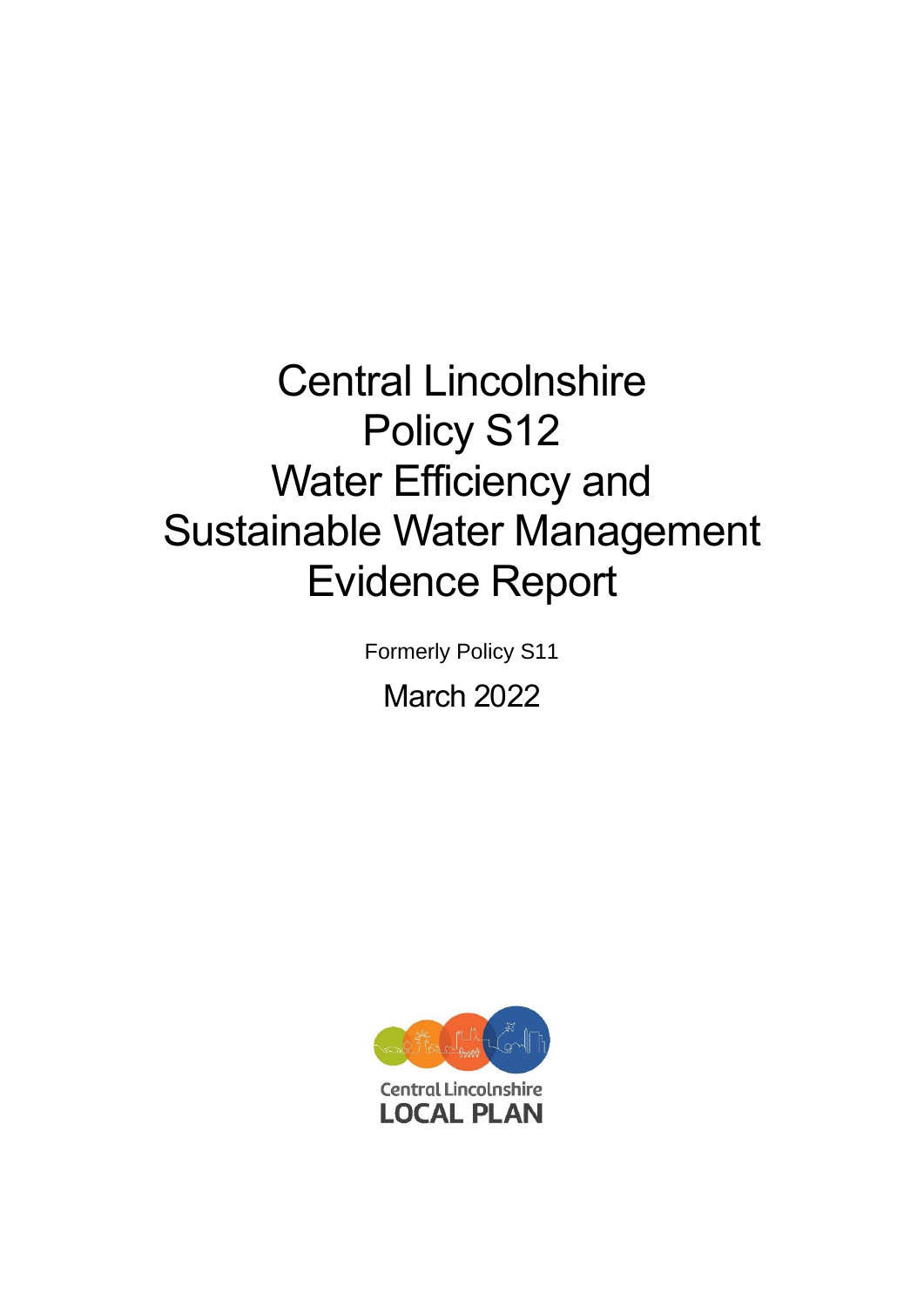# Central Lincolnshire Policy S12 Water Efficiency and Sustainable Water Management Evidence Report

Formerly Policy S11

March 2022

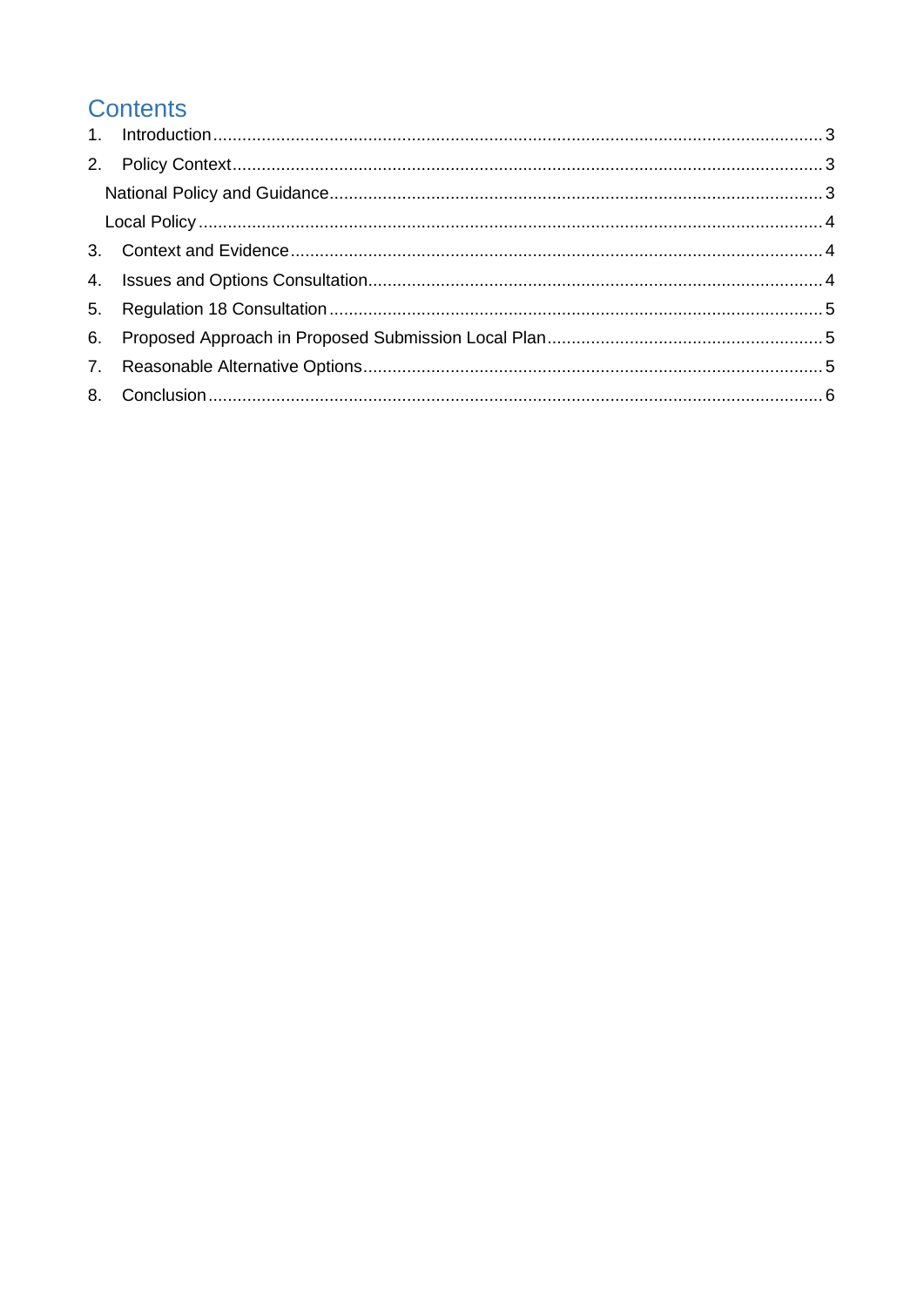# **Contents**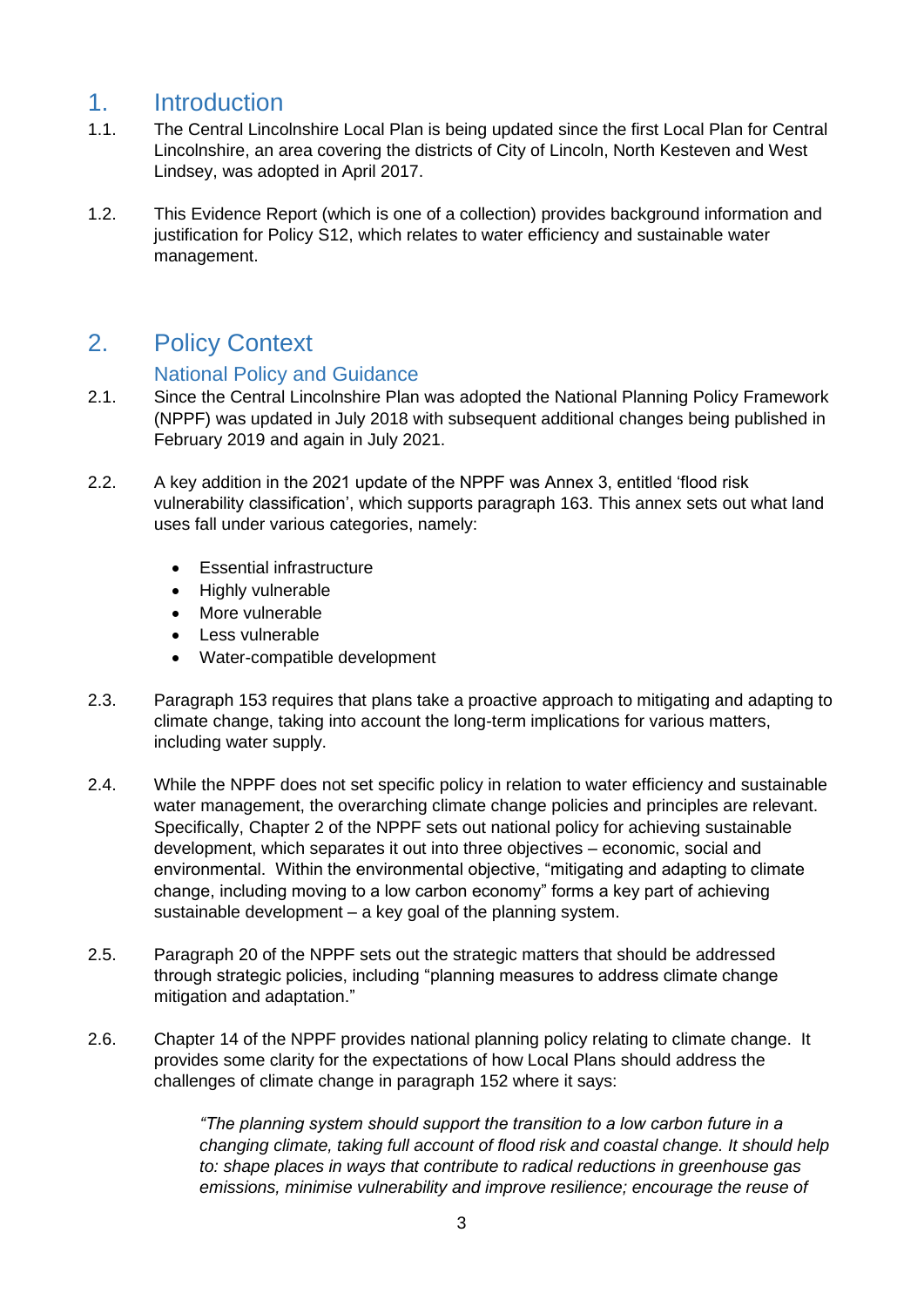# <span id="page-2-0"></span>1. Introduction

- 1.1. The Central Lincolnshire Local Plan is being updated since the first Local Plan for Central Lincolnshire, an area covering the districts of City of Lincoln, North Kesteven and West Lindsey, was adopted in April 2017.
- 1.2. This Evidence Report (which is one of a collection) provides background information and justification for Policy S12, which relates to water efficiency and sustainable water management.

# <span id="page-2-1"></span>2. Policy Context

#### National Policy and Guidance

- <span id="page-2-2"></span>2.1. Since the Central Lincolnshire Plan was adopted the National Planning Policy Framework (NPPF) was updated in July 2018 with subsequent additional changes being published in February 2019 and again in July 2021.
- 2.2. A key addition in the 2021 update of the NPPF was Annex 3, entitled 'flood risk vulnerability classification', which supports paragraph 163. This annex sets out what land uses fall under various categories, namely:
	- Essential infrastructure
	- Highly vulnerable
	- More vulnerable
	- Less vulnerable
	- Water-compatible development
- 2.3. Paragraph 153 requires that plans take a proactive approach to mitigating and adapting to climate change, taking into account the long-term implications for various matters, including water supply.
- 2.4. While the NPPF does not set specific policy in relation to water efficiency and sustainable water management, the overarching climate change policies and principles are relevant. Specifically, Chapter 2 of the NPPF sets out national policy for achieving sustainable development, which separates it out into three objectives – economic, social and environmental. Within the environmental objective, "mitigating and adapting to climate change, including moving to a low carbon economy" forms a key part of achieving sustainable development – a key goal of the planning system.
- 2.5. Paragraph 20 of the NPPF sets out the strategic matters that should be addressed through strategic policies, including "planning measures to address climate change mitigation and adaptation."
- 2.6. Chapter 14 of the NPPF provides national planning policy relating to climate change. It provides some clarity for the expectations of how Local Plans should address the challenges of climate change in paragraph 152 where it says:

*"The planning system should support the transition to a low carbon future in a changing climate, taking full account of flood risk and coastal change. It should help to: shape places in ways that contribute to radical reductions in greenhouse gas emissions, minimise vulnerability and improve resilience; encourage the reuse of*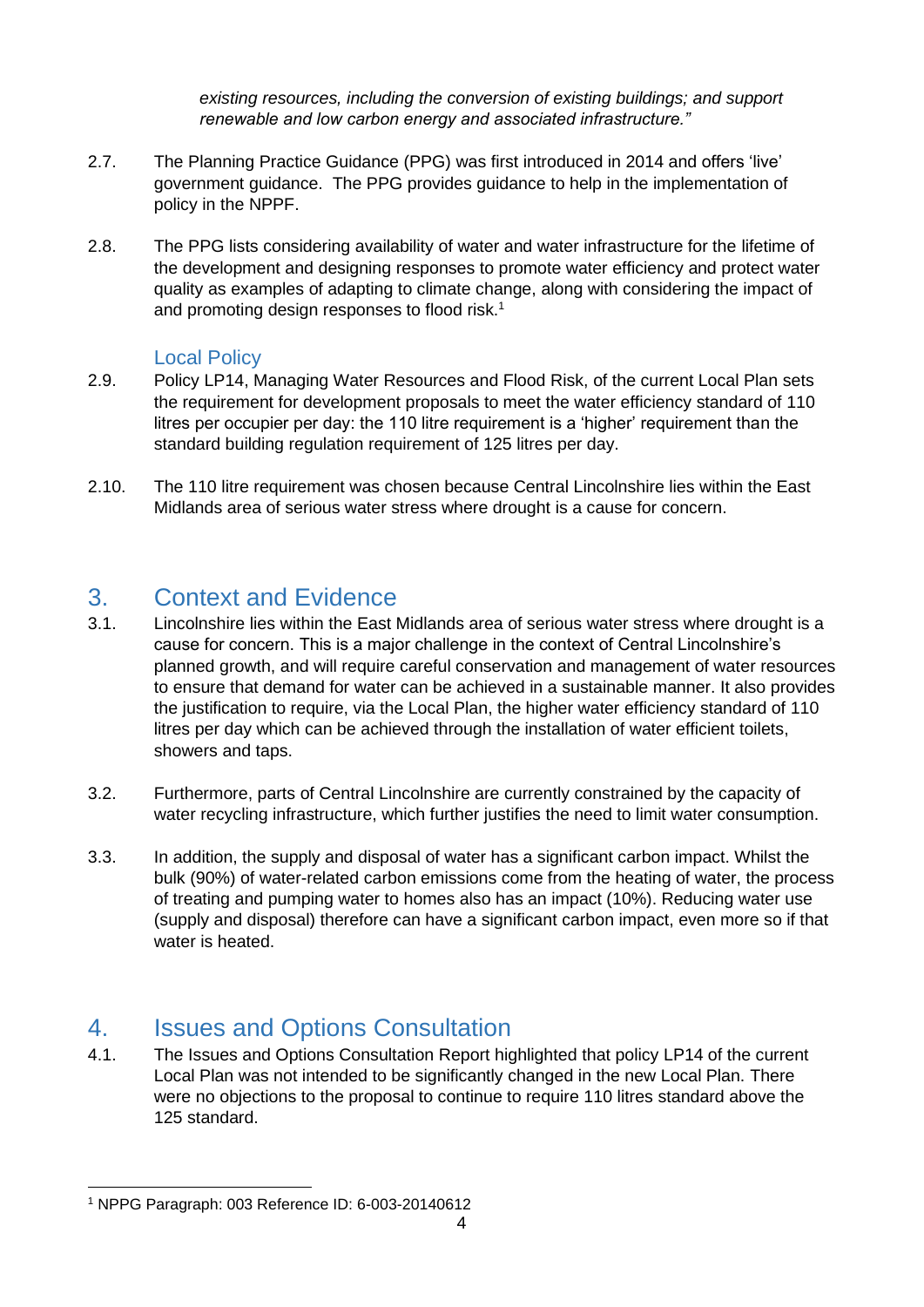*existing resources, including the conversion of existing buildings; and support renewable and low carbon energy and associated infrastructure."*

- 2.7. The Planning Practice Guidance (PPG) was first introduced in 2014 and offers 'live' government guidance. The PPG provides guidance to help in the implementation of policy in the NPPF.
- 2.8. The PPG lists considering availability of water and water infrastructure for the lifetime of the development and designing responses to promote water efficiency and protect water quality as examples of adapting to climate change, along with considering the impact of and promoting design responses to flood risk.<sup>1</sup>

#### Local Policy

- <span id="page-3-0"></span>2.9. Policy LP14, Managing Water Resources and Flood Risk, of the current Local Plan sets the requirement for development proposals to meet the water efficiency standard of 110 litres per occupier per day: the 110 litre requirement is a 'higher' requirement than the standard building regulation requirement of 125 litres per day.
- 2.10. The 110 litre requirement was chosen because Central Lincolnshire lies within the East Midlands area of serious water stress where drought is a cause for concern.

### <span id="page-3-1"></span>3. Context and Evidence

- 3.1. Lincolnshire lies within the East Midlands area of serious water stress where drought is a cause for concern. This is a major challenge in the context of Central Lincolnshire's planned growth, and will require careful conservation and management of water resources to ensure that demand for water can be achieved in a sustainable manner. It also provides the justification to require, via the Local Plan, the higher water efficiency standard of 110 litres per day which can be achieved through the installation of water efficient toilets, showers and taps.
- 3.2. Furthermore, parts of Central Lincolnshire are currently constrained by the capacity of water recycling infrastructure, which further justifies the need to limit water consumption.
- 3.3. In addition, the supply and disposal of water has a significant carbon impact. Whilst the bulk (90%) of water-related carbon emissions come from the heating of water, the process of treating and pumping water to homes also has an impact (10%). Reducing water use (supply and disposal) therefore can have a significant carbon impact, even more so if that water is heated.

# <span id="page-3-2"></span>4. Issues and Options Consultation

4.1. The Issues and Options Consultation Report highlighted that policy LP14 of the current Local Plan was not intended to be significantly changed in the new Local Plan. There were no objections to the proposal to continue to require 110 litres standard above the 125 standard.

<sup>1</sup> NPPG Paragraph: 003 Reference ID: 6-003-20140612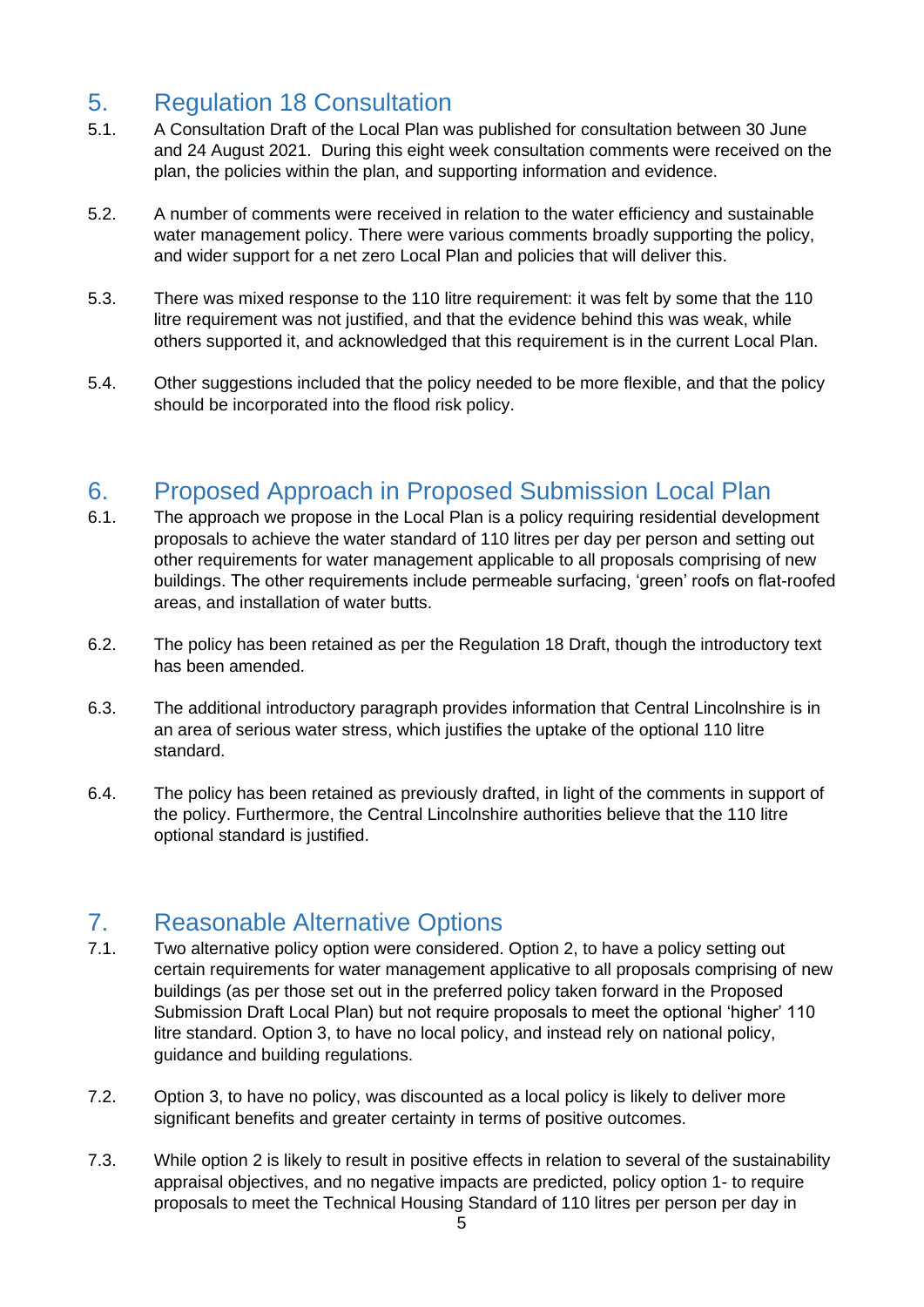# <span id="page-4-0"></span>5. Regulation 18 Consultation

- 5.1. A Consultation Draft of the Local Plan was published for consultation between 30 June and 24 August 2021. During this eight week consultation comments were received on the plan, the policies within the plan, and supporting information and evidence.
- 5.2. A number of comments were received in relation to the water efficiency and sustainable water management policy. There were various comments broadly supporting the policy, and wider support for a net zero Local Plan and policies that will deliver this.
- 5.3. There was mixed response to the 110 litre requirement: it was felt by some that the 110 litre requirement was not justified, and that the evidence behind this was weak, while others supported it, and acknowledged that this requirement is in the current Local Plan.
- 5.4. Other suggestions included that the policy needed to be more flexible, and that the policy should be incorporated into the flood risk policy.

## <span id="page-4-1"></span>6. Proposed Approach in Proposed Submission Local Plan

- 6.1. The approach we propose in the Local Plan is a policy requiring residential development proposals to achieve the water standard of 110 litres per day per person and setting out other requirements for water management applicable to all proposals comprising of new buildings. The other requirements include permeable surfacing, 'green' roofs on flat-roofed areas, and installation of water butts.
- 6.2. The policy has been retained as per the Regulation 18 Draft, though the introductory text has been amended.
- 6.3. The additional introductory paragraph provides information that Central Lincolnshire is in an area of serious water stress, which justifies the uptake of the optional 110 litre standard.
- 6.4. The policy has been retained as previously drafted, in light of the comments in support of the policy. Furthermore, the Central Lincolnshire authorities believe that the 110 litre optional standard is justified.

# <span id="page-4-2"></span>7. Reasonable Alternative Options

- 7.1. Two alternative policy option were considered. Option 2, to have a policy setting out certain requirements for water management applicative to all proposals comprising of new buildings (as per those set out in the preferred policy taken forward in the Proposed Submission Draft Local Plan) but not require proposals to meet the optional 'higher' 110 litre standard. Option 3, to have no local policy, and instead rely on national policy, guidance and building regulations.
- 7.2. Option 3, to have no policy, was discounted as a local policy is likely to deliver more significant benefits and greater certainty in terms of positive outcomes.
- 7.3. While option 2 is likely to result in positive effects in relation to several of the sustainability appraisal objectives, and no negative impacts are predicted, policy option 1- to require proposals to meet the Technical Housing Standard of 110 litres per person per day in